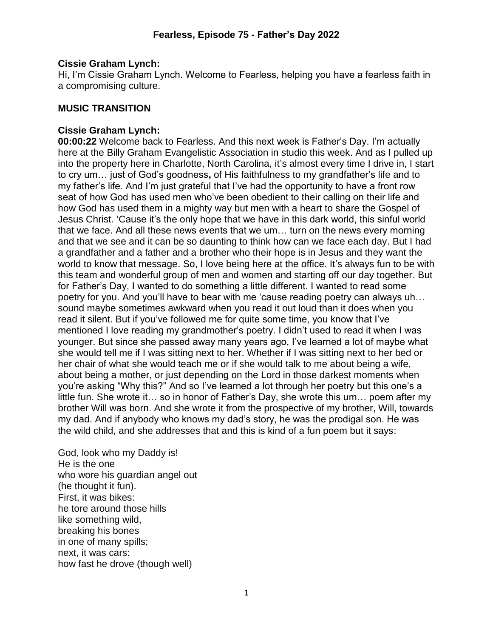### **Cissie Graham Lynch:**

Hi, I'm Cissie Graham Lynch. Welcome to Fearless, helping you have a fearless faith in a compromising culture.

## **MUSIC TRANSITION**

### **Cissie Graham Lynch:**

**00:00:22** Welcome back to Fearless. And this next week is Father's Day. I'm actually here at the Billy Graham Evangelistic Association in studio this week. And as I pulled up into the property here in Charlotte, North Carolina, it's almost every time I drive in, I start to cry um… just of God's goodness**,** of His faithfulness to my grandfather's life and to my father's life. And I'm just grateful that I've had the opportunity to have a front row seat of how God has used men who've been obedient to their calling on their life and how God has used them in a mighty way but men with a heart to share the Gospel of Jesus Christ. 'Cause it's the only hope that we have in this dark world, this sinful world that we face. And all these news events that we um… turn on the news every morning and that we see and it can be so daunting to think how can we face each day. But I had a grandfather and a father and a brother who their hope is in Jesus and they want the world to know that message. So, I love being here at the office. It's always fun to be with this team and wonderful group of men and women and starting off our day together. But for Father's Day, I wanted to do something a little different. I wanted to read some poetry for you. And you'll have to bear with me 'cause reading poetry can always uh… sound maybe sometimes awkward when you read it out loud than it does when you read it silent. But if you've followed me for quite some time, you know that I've mentioned I love reading my grandmother's poetry. I didn't used to read it when I was younger. But since she passed away many years ago, I've learned a lot of maybe what she would tell me if I was sitting next to her. Whether if I was sitting next to her bed or her chair of what she would teach me or if she would talk to me about being a wife, about being a mother, or just depending on the Lord in those darkest moments when you're asking "Why this?" And so I've learned a lot through her poetry but this one's a little fun. She wrote it… so in honor of Father's Day, she wrote this um… poem after my brother Will was born. And she wrote it from the prospective of my brother, Will, towards my dad. And if anybody who knows my dad's story, he was the prodigal son. He was the wild child, and she addresses that and this is kind of a fun poem but it says:

God, look who my Daddy is! He is the one who wore his guardian angel out (he thought it fun). First, it was bikes: he tore around those hills like something wild, breaking his bones in one of many spills; next, it was cars: how fast he drove (though well)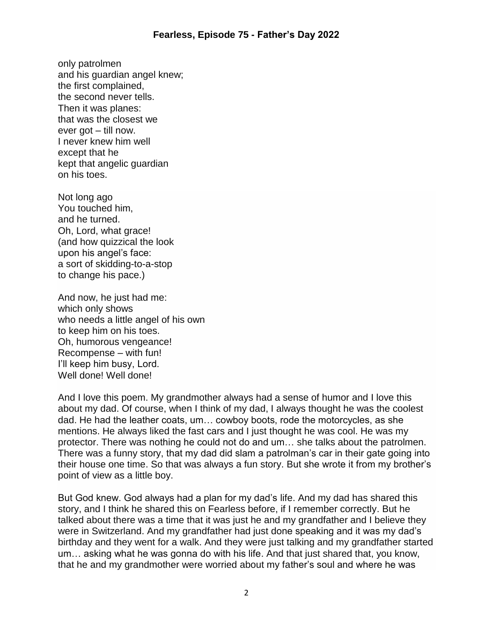only patrolmen and his guardian angel knew; the first complained, the second never tells. Then it was planes: that was the closest we ever got – till now. I never knew him well except that he kept that angelic guardian on his toes.

Not long ago You touched him, and he turned. Oh, Lord, what grace! (and how quizzical the look upon his angel's face: a sort of skidding-to-a-stop to change his pace.)

And now, he just had me: which only shows who needs a little angel of his own to keep him on his toes. Oh, humorous vengeance! Recompense – with fun! I'll keep him busy, Lord. Well done! Well done!

And I love this poem. My grandmother always had a sense of humor and I love this about my dad. Of course, when I think of my dad, I always thought he was the coolest dad. He had the leather coats, um… cowboy boots, rode the motorcycles, as she mentions. He always liked the fast cars and I just thought he was cool. He was my protector. There was nothing he could not do and um… she talks about the patrolmen. There was a funny story, that my dad did slam a patrolman's car in their gate going into their house one time. So that was always a fun story. But she wrote it from my brother's point of view as a little boy.

But God knew. God always had a plan for my dad's life. And my dad has shared this story, and I think he shared this on Fearless before, if I remember correctly. But he talked about there was a time that it was just he and my grandfather and I believe they were in Switzerland. And my grandfather had just done speaking and it was my dad's birthday and they went for a walk. And they were just talking and my grandfather started um… asking what he was gonna do with his life. And that just shared that, you know, that he and my grandmother were worried about my father's soul and where he was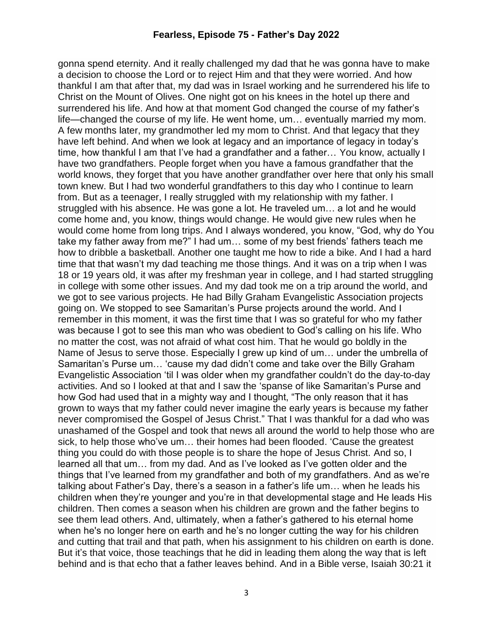gonna spend eternity. And it really challenged my dad that he was gonna have to make a decision to choose the Lord or to reject Him and that they were worried. And how thankful I am that after that, my dad was in Israel working and he surrendered his life to Christ on the Mount of Olives. One night got on his knees in the hotel up there and surrendered his life. And how at that moment God changed the course of my father's life—changed the course of my life. He went home, um… eventually married my mom. A few months later, my grandmother led my mom to Christ. And that legacy that they have left behind. And when we look at legacy and an importance of legacy in today's time, how thankful I am that I've had a grandfather and a father… You know, actually I have two grandfathers. People forget when you have a famous grandfather that the world knows, they forget that you have another grandfather over here that only his small town knew. But I had two wonderful grandfathers to this day who I continue to learn from. But as a teenager, I really struggled with my relationship with my father. I struggled with his absence. He was gone a lot. He traveled um… a lot and he would come home and, you know, things would change. He would give new rules when he would come home from long trips. And I always wondered, you know, "God, why do You take my father away from me?" I had um… some of my best friends' fathers teach me how to dribble a basketball. Another one taught me how to ride a bike. And I had a hard time that that wasn't my dad teaching me those things. And it was on a trip when I was 18 or 19 years old, it was after my freshman year in college, and I had started struggling in college with some other issues. And my dad took me on a trip around the world, and we got to see various projects. He had Billy Graham Evangelistic Association projects going on. We stopped to see Samaritan's Purse projects around the world. And I remember in this moment, it was the first time that I was so grateful for who my father was because I got to see this man who was obedient to God's calling on his life. Who no matter the cost, was not afraid of what cost him. That he would go boldly in the Name of Jesus to serve those. Especially I grew up kind of um… under the umbrella of Samaritan's Purse um… 'cause my dad didn't come and take over the Billy Graham Evangelistic Association 'til I was older when my grandfather couldn't do the day-to-day activities. And so I looked at that and I saw the 'spanse of like Samaritan's Purse and how God had used that in a mighty way and I thought, "The only reason that it has grown to ways that my father could never imagine the early years is because my father never compromised the Gospel of Jesus Christ." That I was thankful for a dad who was unashamed of the Gospel and took that news all around the world to help those who are sick, to help those who've um… their homes had been flooded. 'Cause the greatest thing you could do with those people is to share the hope of Jesus Christ. And so, I learned all that um… from my dad. And as I've looked as I've gotten older and the things that I've learned from my grandfather and both of my grandfathers. And as we're talking about Father's Day, there's a season in a father's life um… when he leads his children when they're younger and you're in that developmental stage and He leads His children. Then comes a season when his children are grown and the father begins to see them lead others. And, ultimately, when a father's gathered to his eternal home when he's no longer here on earth and he's no longer cutting the way for his children and cutting that trail and that path, when his assignment to his children on earth is done. But it's that voice, those teachings that he did in leading them along the way that is left behind and is that echo that a father leaves behind. And in a Bible verse, Isaiah 30:21 it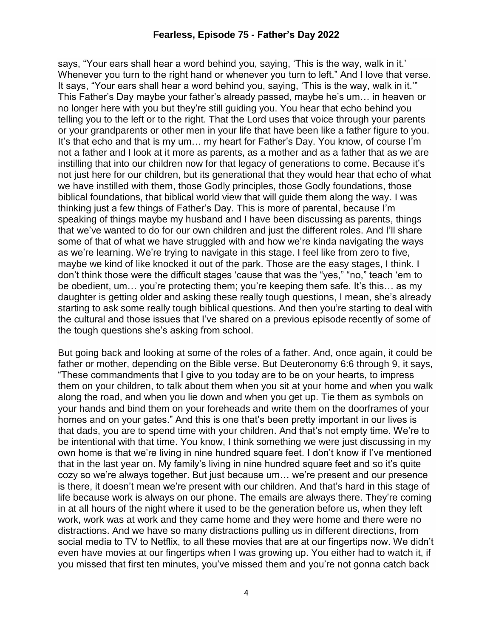says, "Your ears shall hear a word behind you, saying, 'This is the way, walk in it.' Whenever you turn to the right hand or whenever you turn to left." And I love that verse. It says, "Your ears shall hear a word behind you, saying, 'This is the way, walk in it.'" This Father's Day maybe your father's already passed, maybe he's um… in heaven or no longer here with you but they're still guiding you. You hear that echo behind you telling you to the left or to the right. That the Lord uses that voice through your parents or your grandparents or other men in your life that have been like a father figure to you. It's that echo and that is my um… my heart for Father's Day. You know, of course I'm not a father and I look at it more as parents, as a mother and as a father that as we are instilling that into our children now for that legacy of generations to come. Because it's not just here for our children, but its generational that they would hear that echo of what we have instilled with them, those Godly principles, those Godly foundations, those biblical foundations, that biblical world view that will guide them along the way. I was thinking just a few things of Father's Day. This is more of parental, because I'm speaking of things maybe my husband and I have been discussing as parents, things that we've wanted to do for our own children and just the different roles. And I'll share some of that of what we have struggled with and how we're kinda navigating the ways as we're learning. We're trying to navigate in this stage. I feel like from zero to five, maybe we kind of like knocked it out of the park. Those are the easy stages, I think. I don't think those were the difficult stages 'cause that was the "yes," "no," teach 'em to be obedient, um… you're protecting them; you're keeping them safe. It's this… as my daughter is getting older and asking these really tough questions, I mean, she's already starting to ask some really tough biblical questions. And then you're starting to deal with the cultural and those issues that I've shared on a previous episode recently of some of the tough questions she's asking from school.

But going back and looking at some of the roles of a father. And, once again, it could be father or mother, depending on the Bible verse. But Deuteronomy 6:6 through 9, it says, "These commandments that I give to you today are to be on your hearts, to impress them on your children, to talk about them when you sit at your home and when you walk along the road, and when you lie down and when you get up. Tie them as symbols on your hands and bind them on your foreheads and write them on the doorframes of your homes and on your gates." And this is one that's been pretty important in our lives is that dads, you are to spend time with your children. And that's not empty time. We're to be intentional with that time. You know, I think something we were just discussing in my own home is that we're living in nine hundred square feet. I don't know if I've mentioned that in the last year on. My family's living in nine hundred square feet and so it's quite cozy so we're always together. But just because um… we're present and our presence is there, it doesn't mean we're present with our children. And that's hard in this stage of life because work is always on our phone. The emails are always there. They're coming in at all hours of the night where it used to be the generation before us, when they left work, work was at work and they came home and they were home and there were no distractions. And we have so many distractions pulling us in different directions, from social media to TV to Netflix, to all these movies that are at our fingertips now. We didn't even have movies at our fingertips when I was growing up. You either had to watch it, if you missed that first ten minutes, you've missed them and you're not gonna catch back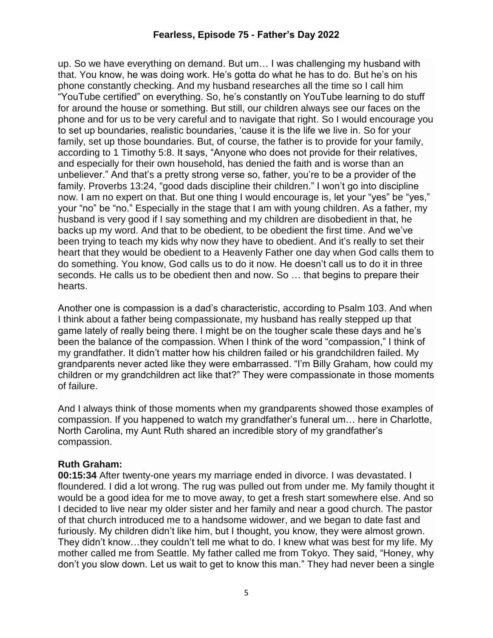up. So we have everything on demand. But um… I was challenging my husband with that. You know, he was doing work. He's gotta do what he has to do. But he's on his phone constantly checking. And my husband researches all the time so I call him "YouTube certified" on everything. So, he's constantly on YouTube learning to do stuff for around the house or something. But still, our children always see our faces on the phone and for us to be very careful and to navigate that right. So I would encourage you to set up boundaries, realistic boundaries, 'cause it is the life we live in. So for your family, set up those boundaries. But, of course, the father is to provide for your family, according to 1 Timothy 5:8. It says, "Anyone who does not provide for their relatives, and especially for their own household, has denied the faith and is worse than an unbeliever." And that's a pretty strong verse so, father, you're to be a provider of the family. Proverbs 13:24, "good dads discipline their children." I won't go into discipline now. I am no expert on that. But one thing I would encourage is, let your "yes" be "yes," your "no" be "no." Especially in the stage that I am with young children. As a father, my husband is very good if I say something and my children are disobedient in that, he backs up my word. And that to be obedient, to be obedient the first time. And we've been trying to teach my kids why now they have to obedient. And it's really to set their heart that they would be obedient to a Heavenly Father one day when God calls them to do something. You know, God calls us to do it now. He doesn't call us to do it in three seconds. He calls us to be obedient then and now. So … that begins to prepare their hearts.

Another one is compassion is a dad's characteristic, according to Psalm 103. And when I think about a father being compassionate, my husband has really stepped up that game lately of really being there. I might be on the tougher scale these days and he's been the balance of the compassion. When I think of the word "compassion," I think of my grandfather. It didn't matter how his children failed or his grandchildren failed. My grandparents never acted like they were embarrassed. "I'm Billy Graham, how could my children or my grandchildren act like that?" They were compassionate in those moments of failure.

And I always think of those moments when my grandparents showed those examples of compassion. If you happened to watch my grandfather's funeral um… here in Charlotte, North Carolina, my Aunt Ruth shared an incredible story of my grandfather's compassion.

#### **Ruth Graham:**

**00:15:34** After twenty-one years my marriage ended in divorce. I was devastated. I floundered. I did a lot wrong. The rug was pulled out from under me. My family thought it would be a good idea for me to move away, to get a fresh start somewhere else. And so I decided to live near my older sister and her family and near a good church. The pastor of that church introduced me to a handsome widower, and we began to date fast and furiously. My children didn't like him, but I thought, you know, they were almost grown. They didn't know…they couldn't tell me what to do. I knew what was best for my life. My mother called me from Seattle. My father called me from Tokyo. They said, "Honey, why don't you slow down. Let us wait to get to know this man." They had never been a single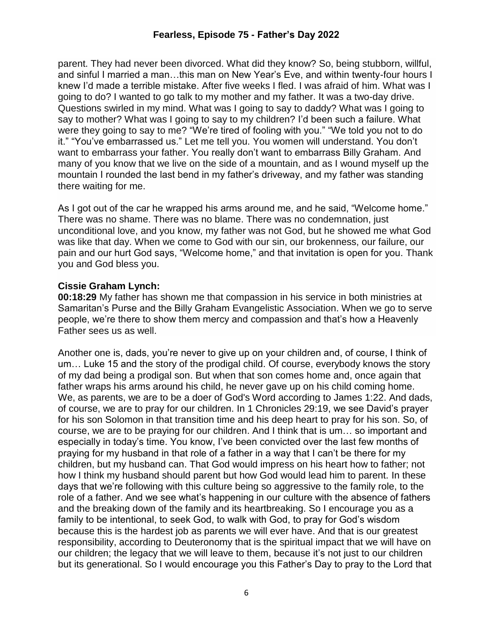parent. They had never been divorced. What did they know? So, being stubborn, willful, and sinful I married a man…this man on New Year's Eve, and within twenty-four hours I knew I'd made a terrible mistake. After five weeks I fled. I was afraid of him. What was I going to do? I wanted to go talk to my mother and my father. It was a two-day drive. Questions swirled in my mind. What was I going to say to daddy? What was I going to say to mother? What was I going to say to my children? I'd been such a failure. What were they going to say to me? "We're tired of fooling with you." "We told you not to do it." "You've embarrassed us." Let me tell you. You women will understand. You don't want to embarrass your father. You really don't want to embarrass Billy Graham. And many of you know that we live on the side of a mountain, and as I wound myself up the mountain I rounded the last bend in my father's driveway, and my father was standing there waiting for me.

As I got out of the car he wrapped his arms around me, and he said, "Welcome home." There was no shame. There was no blame. There was no condemnation, just unconditional love, and you know, my father was not God, but he showed me what God was like that day. When we come to God with our sin, our brokenness, our failure, our pain and our hurt God says, "Welcome home," and that invitation is open for you. Thank you and God bless you.

### **Cissie Graham Lynch:**

**00:18:29** My father has shown me that compassion in his service in both ministries at Samaritan's Purse and the Billy Graham Evangelistic Association. When we go to serve people, we're there to show them mercy and compassion and that's how a Heavenly Father sees us as well.

Another one is, dads, you're never to give up on your children and, of course, I think of um… Luke 15 and the story of the prodigal child. Of course, everybody knows the story of my dad being a prodigal son. But when that son comes home and, once again that father wraps his arms around his child, he never gave up on his child coming home. We, as parents, we are to be a doer of God's Word according to James 1:22. And dads, of course, we are to pray for our children. In 1 Chronicles 29:19, we see David's prayer for his son Solomon in that transition time and his deep heart to pray for his son. So, of course, we are to be praying for our children. And I think that is um… so important and especially in today's time. You know, I've been convicted over the last few months of praying for my husband in that role of a father in a way that I can't be there for my children, but my husband can. That God would impress on his heart how to father; not how I think my husband should parent but how God would lead him to parent. In these days that we're following with this culture being so aggressive to the family role, to the role of a father. And we see what's happening in our culture with the absence of fathers and the breaking down of the family and its heartbreaking. So I encourage you as a family to be intentional, to seek God, to walk with God, to pray for God's wisdom because this is the hardest job as parents we will ever have. And that is our greatest responsibility, according to Deuteronomy that is the spiritual impact that we will have on our children; the legacy that we will leave to them, because it's not just to our children but its generational. So I would encourage you this Father's Day to pray to the Lord that